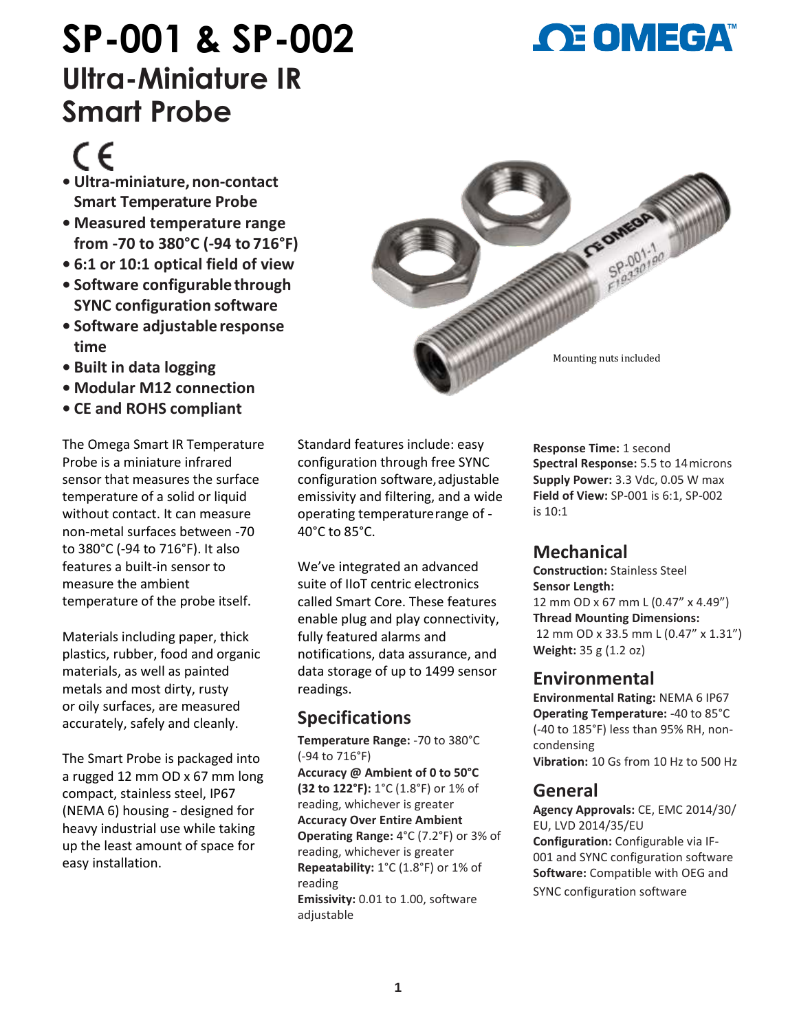

## **SP-001 & SP-002 Ultra-Miniature IR Smart Probe**

# $\epsilon$

- **• Ultra-miniature,non-contact Smart Temperature Probe**
- **• Measured temperature range from -70 to 380°C (-94 to 716°F)**
- **• 6:1 or 10:1 optical field of view**
- **• Software configurablethrough SYNC configuration software**
- **• Software adjustableresponse time**
- **• Built in data logging**
- **• Modular M12 connection**
- **• CE and ROHS compliant**

The Omega Smart IR Temperature Probe is a miniature infrared sensor that measures the surface temperature of a solid or liquid without contact. It can measure non-metal surfaces between -70 to 380°C (-94 to 716°F). It also features a built-in sensor to measure the ambient temperature of the probe itself.

Materials including paper, thick plastics, rubber, food and organic materials, as well as painted metals and most dirty, rusty or oily surfaces, are measured accurately, safely and cleanly.

The Smart Probe is packaged into a rugged 12 mm OD x 67 mm long compact, stainless steel, IP67 (NEMA 6) housing - designed for heavy industrial use while taking up the least amount of space for easy installation.



Standard features include: easy configuration through free SYNC configuration software,adjustable emissivity and filtering, and a wide operating temperaturerange of - 40°C to 85°C.

We've integrated an advanced suite of IIoT centric electronics called Smart Core. These features enable plug and play connectivity, fully featured alarms and notifications, data assurance, and data storage of up to 1499 sensor readings.

## **Specifications**

**Temperature Range:** -70 to 380°C (-94 to 716°F) **Accuracy @ Ambient of 0 to 50°C (32 to 122°F):** 1°C (1.8°F) or 1% of reading, whichever is greater **Accuracy Over Entire Ambient Operating Range:** 4°C (7.2°F) or 3% of reading, whichever is greater **Repeatability:** 1°C (1.8°F) or 1% of reading **Emissivity:** 0.01 to 1.00, software adjustable

**Response Time:** 1 second **Spectral Response:** 5.5 to 14microns **Supply Power:** 3.3 Vdc, 0.05 W max **Field of View:** SP-001 is 6:1, SP-002 is 10:1

## **Mechanical**

**Construction:** Stainless Steel **Sensor Length:** 12 mm OD x 67 mm L (0.47" x 4.49") **Thread Mounting Dimensions:** 12 mm OD x 33.5 mm L (0.47" x 1.31") **Weight:** 35 g (1.2 oz)

### **Environmental**

**Environmental Rating:** NEMA 6 IP67 **Operating Temperature:** -40 to 85°C (-40 to 185°F) less than 95% RH, noncondensing **Vibration:** 10 Gs from 10 Hz to 500 Hz

### **General**

**Agency Approvals:** CE, EMC 2014/30/ EU, LVD 2014/35/EU **Configuration:** Configurable via IF-001 and SYNC configuration software **Software:** Compatible with OEG and SYNC configuration software